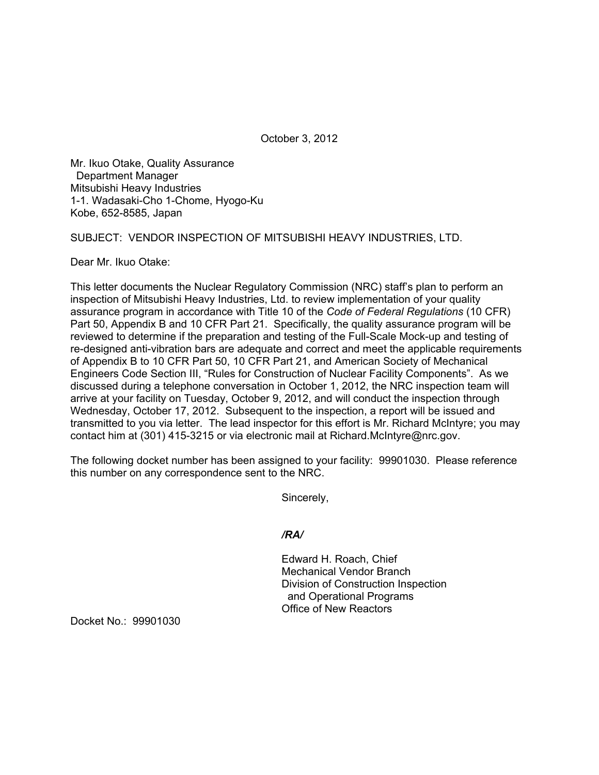October 3, 2012

Mr. Ikuo Otake, Quality Assurance Department Manager Mitsubishi Heavy Industries 1-1. Wadasaki-Cho 1-Chome, Hyogo-Ku Kobe, 652-8585, Japan

SUBJECT: VENDOR INSPECTION OF MITSUBISHI HEAVY INDUSTRIES, LTD.

Dear Mr. Ikuo Otake:

This letter documents the Nuclear Regulatory Commission (NRC) staff's plan to perform an inspection of Mitsubishi Heavy Industries, Ltd. to review implementation of your quality assurance program in accordance with Title 10 of the *Code of Federal Regulations* (10 CFR) Part 50, Appendix B and 10 CFR Part 21. Specifically, the quality assurance program will be reviewed to determine if the preparation and testing of the Full-Scale Mock-up and testing of re-designed anti-vibration bars are adequate and correct and meet the applicable requirements of Appendix B to 10 CFR Part 50, 10 CFR Part 21, and American Society of Mechanical Engineers Code Section III, "Rules for Construction of Nuclear Facility Components". As we discussed during a telephone conversation in October 1, 2012, the NRC inspection team will arrive at your facility on Tuesday, October 9, 2012, and will conduct the inspection through Wednesday, October 17, 2012. Subsequent to the inspection, a report will be issued and transmitted to you via letter. The lead inspector for this effort is Mr. Richard McIntyre; you may contact him at (301) 415-3215 or via electronic mail at Richard.McIntyre@nrc.gov.

The following docket number has been assigned to your facility: 99901030. Please reference this number on any correspondence sent to the NRC.

Sincerely,

*/RA/* 

Edward H. Roach, Chief Mechanical Vendor Branch Division of Construction Inspection and Operational Programs Office of New Reactors

Docket No.: 99901030